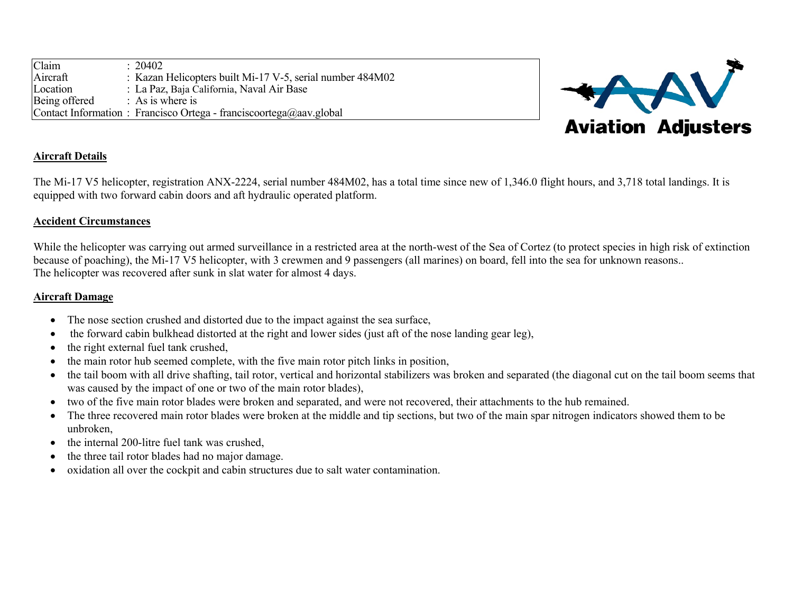| Claim         | : 20402                                                             |  |
|---------------|---------------------------------------------------------------------|--|
| Aircraft      | : Kazan Helicopters built Mi-17 V-5, serial number 484M02           |  |
| Location      | : La Paz, Baja California, Naval Air Base                           |  |
| Being offered | : As is where is                                                    |  |
|               | Contact Information : Francisco Ortega - franciscoortega@aav.global |  |



## **Aircraft Details**

The Mi-17 V5 helicopter, registration ANX-2224, serial number 484M02, has a total time since new of 1,346.0 flight hours, and 3,718 total landings. It is equipped with two forward cabin doors and aft hydraulic operated platform.

## **Accident Circumstances**

While the helicopter was carrying out armed surveillance in a restricted area at the north-west of the Sea of Cortez (to protect species in high risk of extinction because of poaching), the Mi-17 V5 helicopter, with 3 crewmen and 9 passengers (all marines) on board, fell into the sea for unknown reasons.. The helicopter was recovered after sunk in slat water for almost 4 days.

## **Aircraft Damage**

- $\bullet$ The nose section crushed and distorted due to the impact against the sea surface,
- the forward cabin bulkhead distorted at the right and lower sides (just aft of the nose landing gear leg),
- $\bullet$ the right external fuel tank crushed,
- $\bullet$ the main rotor hub seemed complete, with the five main rotor pitch links in position,
- . the tail boom with all drive shafting, tail rotor, vertical and horizontal stabilizers was broken and separated (the diagonal cut on the tail boom seems that was caused by the impact of one or two of the main rotor blades),
- $\bullet$ two of the five main rotor blades were broken and separated, and were not recovered, their attachments to the hub remained.
- $\bullet$  The three recovered main rotor blades were broken at the middle and tip sections, but two of the main spar nitrogen indicators showed them to be unbroken,
- . the internal 200-litre fuel tank was crushed,
- $\bullet$ the three tail rotor blades had no major damage.
- $\bullet$ oxidation all over the cockpit and cabin structures due to salt water contamination.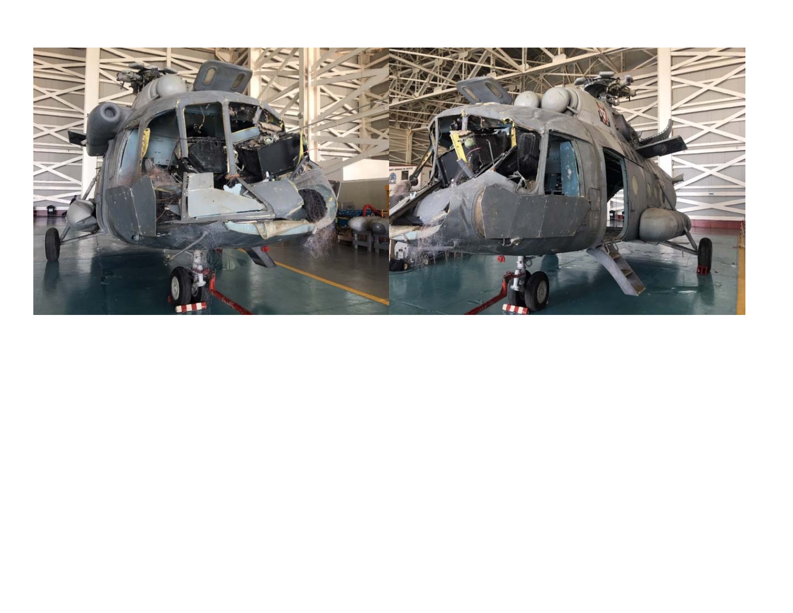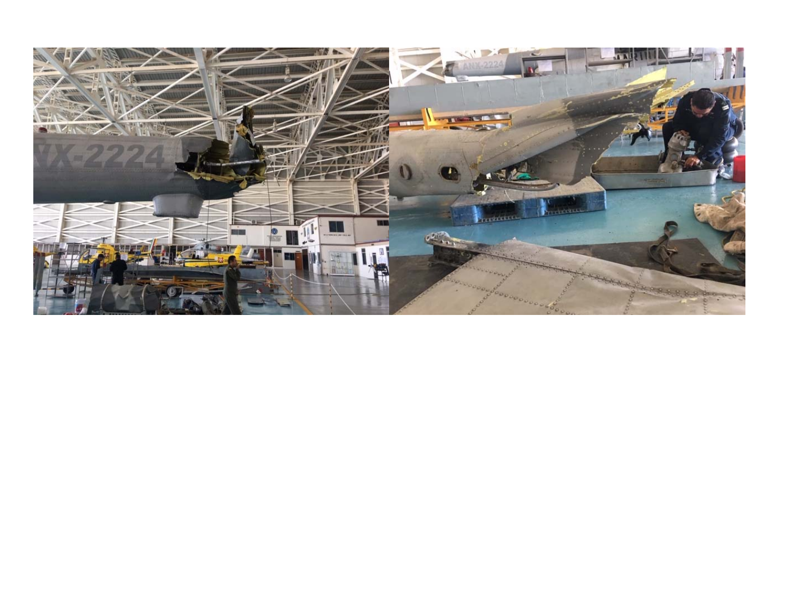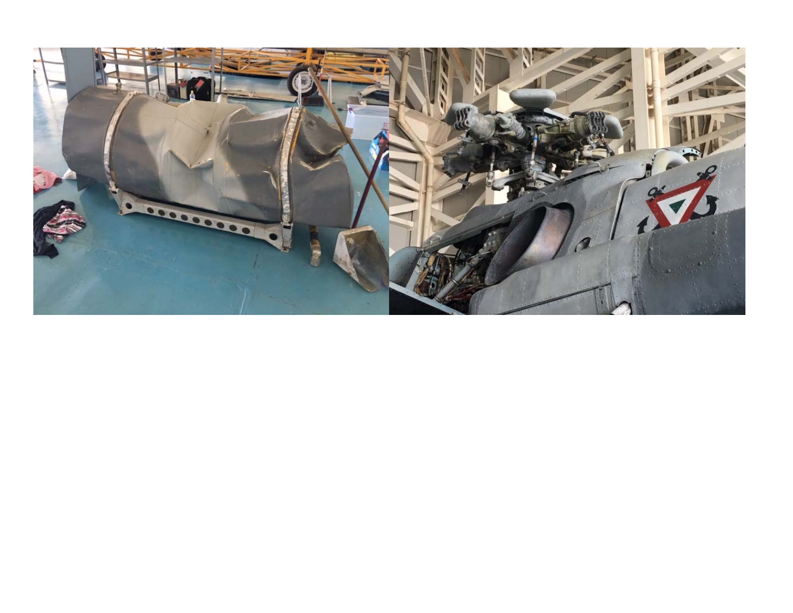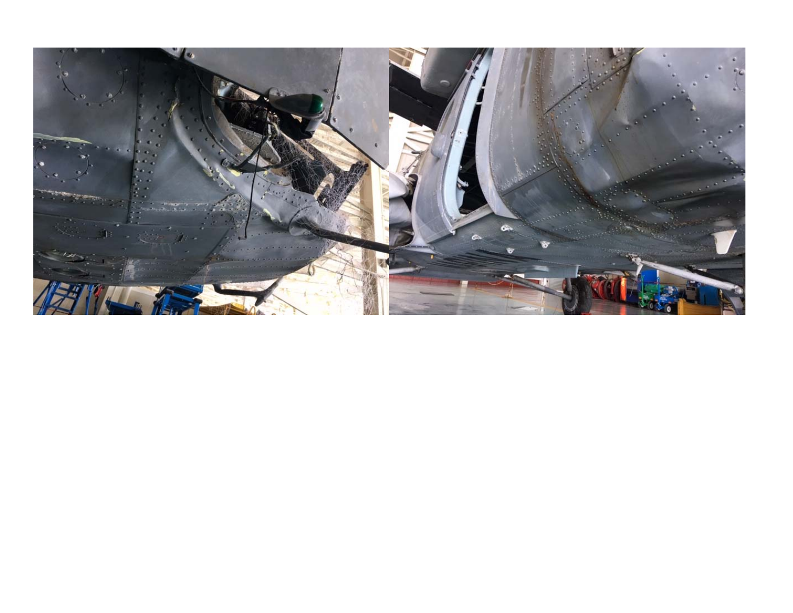